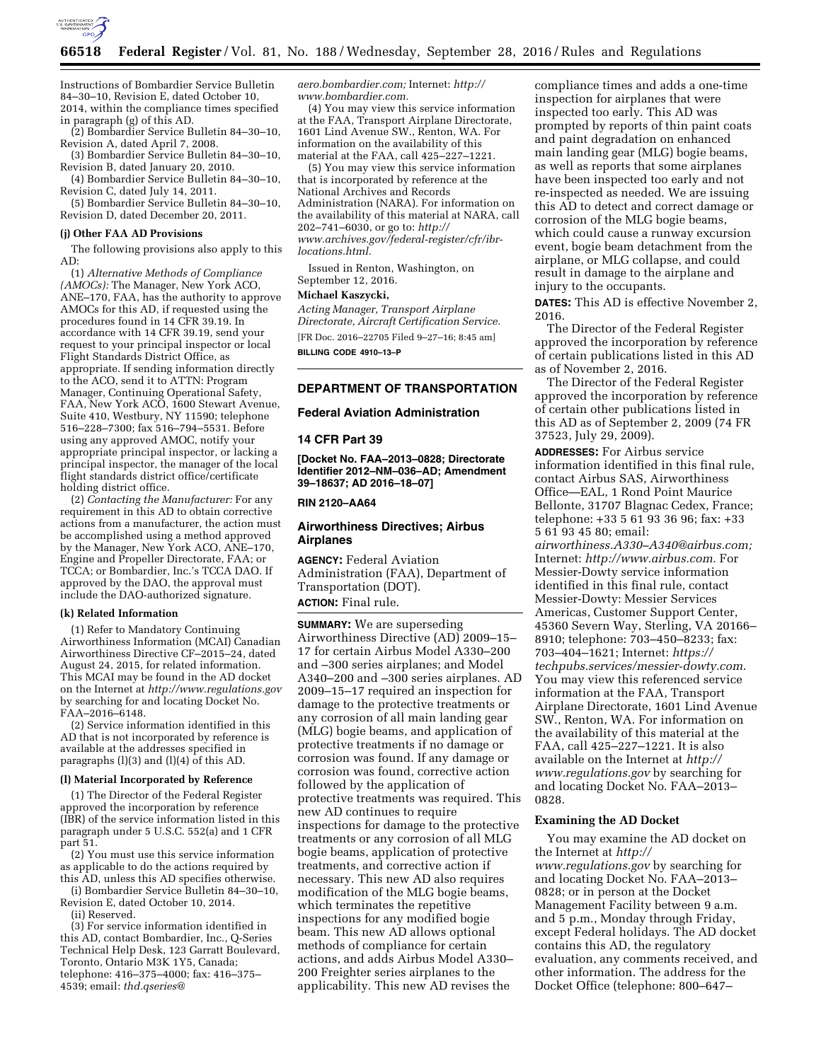

Instructions of Bombardier Service Bulletin 84–30–10, Revision E, dated October 10, 2014, within the compliance times specified in paragraph (g) of this AD.

(2) Bombardier Service Bulletin 84–30–10, Revision A, dated April 7, 2008.

(3) Bombardier Service Bulletin 84–30–10, Revision B, dated January 20, 2010.

(4) Bombardier Service Bulletin 84–30–10, Revision C, dated July 14, 2011.

(5) Bombardier Service Bulletin 84–30–10, Revision D, dated December 20, 2011.

## **(j) Other FAA AD Provisions**

The following provisions also apply to this AD:

(1) *Alternative Methods of Compliance (AMOCs):* The Manager, New York ACO, ANE–170, FAA, has the authority to approve AMOCs for this AD, if requested using the procedures found in 14 CFR 39.19. In accordance with 14 CFR 39.19, send your request to your principal inspector or local Flight Standards District Office, as appropriate. If sending information directly to the ACO, send it to ATTN: Program Manager, Continuing Operational Safety, FAA, New York ACO, 1600 Stewart Avenue, Suite 410, Westbury, NY 11590; telephone 516–228–7300; fax 516–794–5531. Before using any approved AMOC, notify your appropriate principal inspector, or lacking a principal inspector, the manager of the local flight standards district office/certificate holding district office.

(2) *Contacting the Manufacturer:* For any requirement in this AD to obtain corrective actions from a manufacturer, the action must be accomplished using a method approved by the Manager, New York ACO, ANE–170, Engine and Propeller Directorate, FAA; or TCCA; or Bombardier, Inc.'s TCCA DAO. If approved by the DAO, the approval must include the DAO-authorized signature.

#### **(k) Related Information**

(1) Refer to Mandatory Continuing Airworthiness Information (MCAI) Canadian Airworthiness Directive CF–2015–24, dated August 24, 2015, for related information. This MCAI may be found in the AD docket on the Internet at *<http://www.regulations.gov>*  by searching for and locating Docket No. FAA–2016–6148.

(2) Service information identified in this AD that is not incorporated by reference is available at the addresses specified in paragraphs (l)(3) and (l)(4) of this AD.

#### **(l) Material Incorporated by Reference**

(1) The Director of the Federal Register approved the incorporation by reference (IBR) of the service information listed in this paragraph under 5 U.S.C. 552(a) and 1 CFR part 51.

(2) You must use this service information as applicable to do the actions required by this AD, unless this AD specifies otherwise.

(i) Bombardier Service Bulletin 84–30–10, Revision E, dated October 10, 2014.

(ii) Reserved.

(3) For service information identified in this AD, contact Bombardier, Inc., Q-Series Technical Help Desk, 123 Garratt Boulevard, Toronto, Ontario M3K 1Y5, Canada; telephone: 416–375–4000; fax: 416–375– 4539; email: *[thd.qseries@](mailto:thd.qseries@aero.bombardier.com)*

*[aero.bombardier.com;](mailto:thd.qseries@aero.bombardier.com)* Internet: *[http://](http://www.bombardier.com) [www.bombardier.com.](http://www.bombardier.com)* 

(4) You may view this service information at the FAA, Transport Airplane Directorate, 1601 Lind Avenue SW., Renton, WA. For information on the availability of this material at the FAA, call 425–227–1221.

(5) You may view this service information that is incorporated by reference at the National Archives and Records Administration (NARA). For information on the availability of this material at NARA, call 202–741–6030, or go to: *[http://](http://www.archives.gov/federal-register/cfr/ibr-locations.html) [www.archives.gov/federal-register/cfr/ibr](http://www.archives.gov/federal-register/cfr/ibr-locations.html)[locations.html.](http://www.archives.gov/federal-register/cfr/ibr-locations.html)* 

Issued in Renton, Washington, on September 12, 2016.

# **Michael Kaszycki,**

*Acting Manager, Transport Airplane Directorate, Aircraft Certification Service.*  [FR Doc. 2016–22705 Filed 9–27–16; 8:45 am] **BILLING CODE 4910–13–P** 

# **DEPARTMENT OF TRANSPORTATION**

## **Federal Aviation Administration**

#### **14 CFR Part 39**

**[Docket No. FAA–2013–0828; Directorate Identifier 2012–NM–036–AD; Amendment 39–18637; AD 2016–18–07]** 

# **RIN 2120–AA64**

## **Airworthiness Directives; Airbus Airplanes**

**AGENCY:** Federal Aviation Administration (FAA), Department of Transportation (DOT). **ACTION:** Final rule.

**SUMMARY:** We are superseding Airworthiness Directive (AD) 2009–15– 17 for certain Airbus Model A330–200 and –300 series airplanes; and Model A340–200 and –300 series airplanes. AD 2009–15–17 required an inspection for damage to the protective treatments or any corrosion of all main landing gear (MLG) bogie beams, and application of protective treatments if no damage or corrosion was found. If any damage or corrosion was found, corrective action followed by the application of protective treatments was required. This new AD continues to require inspections for damage to the protective treatments or any corrosion of all MLG bogie beams, application of protective treatments, and corrective action if necessary. This new AD also requires modification of the MLG bogie beams, which terminates the repetitive inspections for any modified bogie beam. This new AD allows optional methods of compliance for certain actions, and adds Airbus Model A330– 200 Freighter series airplanes to the applicability. This new AD revises the

compliance times and adds a one-time inspection for airplanes that were inspected too early. This AD was prompted by reports of thin paint coats and paint degradation on enhanced main landing gear (MLG) bogie beams, as well as reports that some airplanes have been inspected too early and not re-inspected as needed. We are issuing this AD to detect and correct damage or corrosion of the MLG bogie beams, which could cause a runway excursion event, bogie beam detachment from the airplane, or MLG collapse, and could result in damage to the airplane and injury to the occupants.

**DATES:** This AD is effective November 2, 2016.

The Director of the Federal Register approved the incorporation by reference of certain publications listed in this AD as of November 2, 2016.

The Director of the Federal Register approved the incorporation by reference of certain other publications listed in this AD as of September 2, 2009 (74 FR 37523, July 29, 2009).

**ADDRESSES:** For Airbus service information identified in this final rule, contact Airbus SAS, Airworthiness Office—EAL, 1 Rond Point Maurice Bellonte, 31707 Blagnac Cedex, France; telephone: +33 5 61 93 36 96; fax: +33 5 61 93 45 80; email:

*[airworthiness.A330–A340@airbus.com;](mailto:airworthiness.A330-A340@airbus.com)*  Internet: *[http://www.airbus.com.](http://www.airbus.com)* For Messier-Dowty service information identified in this final rule, contact Messier-Dowty: Messier Services Americas, Customer Support Center, 45360 Severn Way, Sterling, VA 20166– 8910; telephone: 703–450–8233; fax: 703–404–1621; Internet: *[https://](https://techpubs.services/messier-dowty.com) [techpubs.services/messier-dowty.com](https://techpubs.services/messier-dowty.com)*. You may view this referenced service information at the FAA, Transport Airplane Directorate, 1601 Lind Avenue SW., Renton, WA. For information on the availability of this material at the FAA, call 425–227–1221. It is also available on the Internet at *[http://](http://www.regulations.gov) [www.regulations.gov](http://www.regulations.gov)* by searching for and locating Docket No. FAA–2013– 0828.

## **Examining the AD Docket**

You may examine the AD docket on the Internet at *[http://](http://www.regulations.gov) [www.regulations.gov](http://www.regulations.gov)* by searching for and locating Docket No. FAA–2013– 0828; or in person at the Docket Management Facility between 9 a.m. and 5 p.m., Monday through Friday, except Federal holidays. The AD docket contains this AD, the regulatory evaluation, any comments received, and other information. The address for the Docket Office (telephone: 800–647–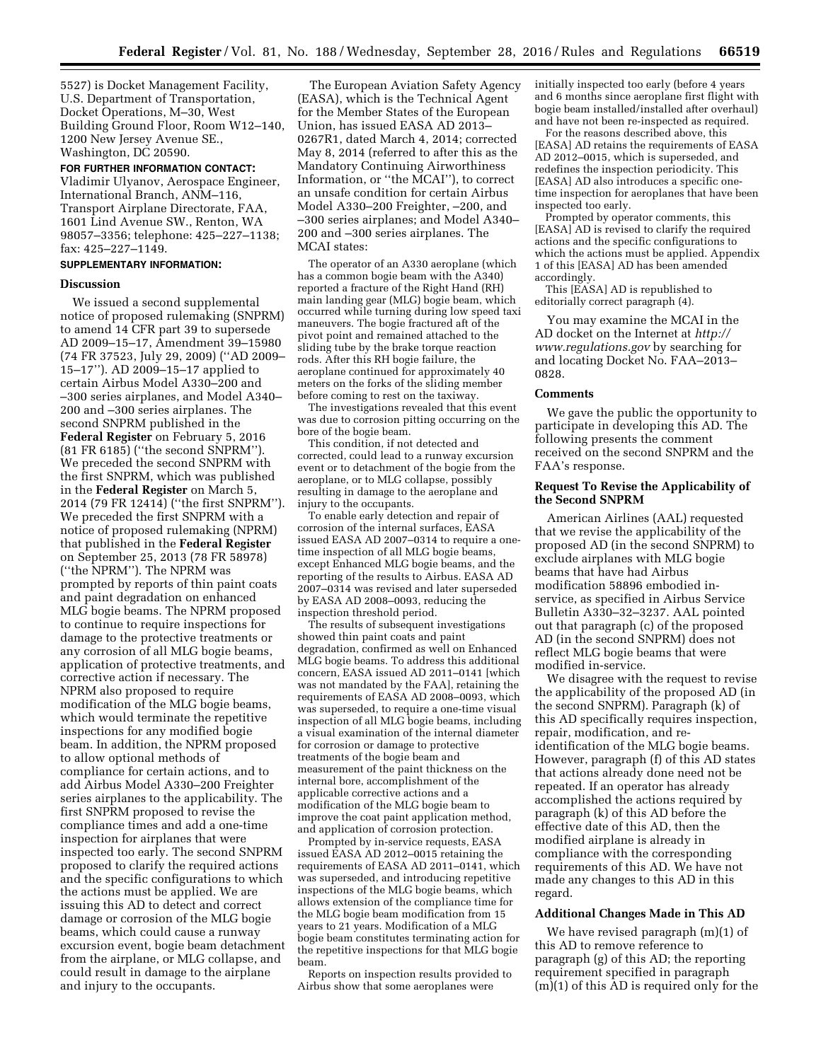5527) is Docket Management Facility, U.S. Department of Transportation, Docket Operations, M–30, West Building Ground Floor, Room W12–140, 1200 New Jersey Avenue SE., Washington, DC 20590.

#### **FOR FURTHER INFORMATION CONTACT:**

Vladimir Ulyanov, Aerospace Engineer, International Branch, ANM–116, Transport Airplane Directorate, FAA, 1601 Lind Avenue SW., Renton, WA 98057–3356; telephone: 425–227–1138; fax: 425–227–1149.

# **SUPPLEMENTARY INFORMATION:**

#### **Discussion**

We issued a second supplemental notice of proposed rulemaking (SNPRM) to amend 14 CFR part 39 to supersede AD 2009–15–17, Amendment 39–15980 (74 FR 37523, July 29, 2009) (''AD 2009– 15–17''). AD 2009–15–17 applied to certain Airbus Model A330–200 and –300 series airplanes, and Model A340– 200 and –300 series airplanes. The second SNPRM published in the **Federal Register** on February 5, 2016 (81 FR 6185) (''the second SNPRM''). We preceded the second SNPRM with the first SNPRM, which was published in the **Federal Register** on March 5, 2014 (79 FR 12414) (''the first SNPRM''). We preceded the first SNPRM with a notice of proposed rulemaking (NPRM) that published in the **Federal Register**  on September 25, 2013 (78 FR 58978) (''the NPRM''). The NPRM was prompted by reports of thin paint coats and paint degradation on enhanced MLG bogie beams. The NPRM proposed to continue to require inspections for damage to the protective treatments or any corrosion of all MLG bogie beams, application of protective treatments, and corrective action if necessary. The NPRM also proposed to require modification of the MLG bogie beams, which would terminate the repetitive inspections for any modified bogie beam. In addition, the NPRM proposed to allow optional methods of compliance for certain actions, and to add Airbus Model A330–200 Freighter series airplanes to the applicability. The first SNPRM proposed to revise the compliance times and add a one-time inspection for airplanes that were inspected too early. The second SNPRM proposed to clarify the required actions and the specific configurations to which the actions must be applied. We are issuing this AD to detect and correct damage or corrosion of the MLG bogie beams, which could cause a runway excursion event, bogie beam detachment from the airplane, or MLG collapse, and could result in damage to the airplane and injury to the occupants.

The European Aviation Safety Agency (EASA), which is the Technical Agent for the Member States of the European Union, has issued EASA AD 2013– 0267R1, dated March 4, 2014; corrected May 8, 2014 (referred to after this as the Mandatory Continuing Airworthiness Information, or ''the MCAI''), to correct an unsafe condition for certain Airbus Model A330–200 Freighter, –200, and –300 series airplanes; and Model A340– 200 and –300 series airplanes. The MCAI states:

The operator of an A330 aeroplane (which has a common bogie beam with the A340) reported a fracture of the Right Hand (RH) main landing gear (MLG) bogie beam, which occurred while turning during low speed taxi maneuvers. The bogie fractured aft of the pivot point and remained attached to the sliding tube by the brake torque reaction rods. After this RH bogie failure, the aeroplane continued for approximately 40 meters on the forks of the sliding member before coming to rest on the taxiway.

The investigations revealed that this event was due to corrosion pitting occurring on the bore of the bogie beam.

This condition, if not detected and corrected, could lead to a runway excursion event or to detachment of the bogie from the aeroplane, or to MLG collapse, possibly resulting in damage to the aeroplane and injury to the occupants.

To enable early detection and repair of corrosion of the internal surfaces, EASA issued EASA AD 2007–0314 to require a onetime inspection of all MLG bogie beams, except Enhanced MLG bogie beams, and the reporting of the results to Airbus. EASA AD 2007–0314 was revised and later superseded by EASA AD 2008–0093, reducing the inspection threshold period.

The results of subsequent investigations showed thin paint coats and paint degradation, confirmed as well on Enhanced MLG bogie beams. To address this additional concern, EASA issued AD 2011–0141 [which was not mandated by the FAA], retaining the requirements of EASA AD 2008–0093, which was superseded, to require a one-time visual inspection of all MLG bogie beams, including a visual examination of the internal diameter for corrosion or damage to protective treatments of the bogie beam and measurement of the paint thickness on the internal bore, accomplishment of the applicable corrective actions and a modification of the MLG bogie beam to improve the coat paint application method, and application of corrosion protection.

Prompted by in-service requests, EASA issued EASA AD 2012–0015 retaining the requirements of EASA AD 2011–0141, which was superseded, and introducing repetitive inspections of the MLG bogie beams, which allows extension of the compliance time for the MLG bogie beam modification from 15 years to 21 years. Modification of a MLG bogie beam constitutes terminating action for the repetitive inspections for that MLG bogie beam.

Reports on inspection results provided to Airbus show that some aeroplanes were

initially inspected too early (before 4 years and 6 months since aeroplane first flight with bogie beam installed/installed after overhaul) and have not been re-inspected as required.

For the reasons described above, this [EASA] AD retains the requirements of EASA AD 2012–0015, which is superseded, and redefines the inspection periodicity. This [EASA] AD also introduces a specific onetime inspection for aeroplanes that have been inspected too early.

Prompted by operator comments, this [EASA] AD is revised to clarify the required actions and the specific configurations to which the actions must be applied. Appendix 1 of this [EASA] AD has been amended accordingly.

This [EASA] AD is republished to editorially correct paragraph (4).

You may examine the MCAI in the AD docket on the Internet at *[http://](http://www.regulations.gov) [www.regulations.gov](http://www.regulations.gov)* by searching for and locating Docket No. FAA–2013– 0828.

## **Comments**

We gave the public the opportunity to participate in developing this AD. The following presents the comment received on the second SNPRM and the FAA's response.

# **Request To Revise the Applicability of the Second SNPRM**

American Airlines (AAL) requested that we revise the applicability of the proposed AD (in the second SNPRM) to exclude airplanes with MLG bogie beams that have had Airbus modification 58896 embodied inservice, as specified in Airbus Service Bulletin A330–32–3237. AAL pointed out that paragraph (c) of the proposed AD (in the second SNPRM) does not reflect MLG bogie beams that were modified in-service.

We disagree with the request to revise the applicability of the proposed AD (in the second SNPRM). Paragraph (k) of this AD specifically requires inspection, repair, modification, and reidentification of the MLG bogie beams. However, paragraph (f) of this AD states that actions already done need not be repeated. If an operator has already accomplished the actions required by paragraph (k) of this AD before the effective date of this AD, then the modified airplane is already in compliance with the corresponding requirements of this AD. We have not made any changes to this AD in this regard.

## **Additional Changes Made in This AD**

We have revised paragraph (m)(1) of this AD to remove reference to paragraph (g) of this AD; the reporting requirement specified in paragraph (m)(1) of this AD is required only for the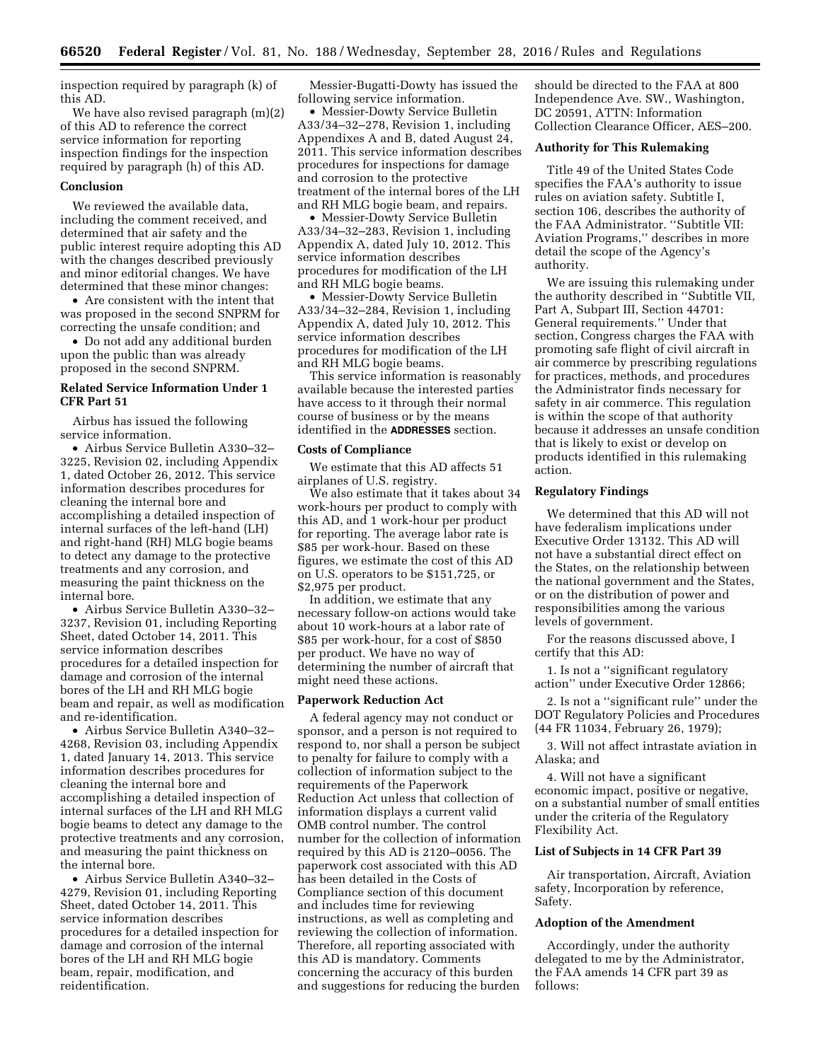inspection required by paragraph (k) of this AD.

We have also revised paragraph (m)(2) of this AD to reference the correct service information for reporting inspection findings for the inspection required by paragraph (h) of this AD.

# **Conclusion**

We reviewed the available data, including the comment received, and determined that air safety and the public interest require adopting this AD with the changes described previously and minor editorial changes. We have determined that these minor changes:

• Are consistent with the intent that was proposed in the second SNPRM for correcting the unsafe condition; and

• Do not add any additional burden upon the public than was already proposed in the second SNPRM.

# **Related Service Information Under 1 CFR Part 51**

Airbus has issued the following service information.

• Airbus Service Bulletin A330–32– 3225, Revision 02, including Appendix 1, dated October 26, 2012. This service information describes procedures for cleaning the internal bore and accomplishing a detailed inspection of internal surfaces of the left-hand (LH) and right-hand (RH) MLG bogie beams to detect any damage to the protective treatments and any corrosion, and measuring the paint thickness on the internal bore.

• Airbus Service Bulletin A330–32– 3237, Revision 01, including Reporting Sheet, dated October 14, 2011. This service information describes procedures for a detailed inspection for damage and corrosion of the internal bores of the LH and RH MLG bogie beam and repair, as well as modification and re-identification.

• Airbus Service Bulletin A340–32– 4268, Revision 03, including Appendix 1, dated January 14, 2013. This service information describes procedures for cleaning the internal bore and accomplishing a detailed inspection of internal surfaces of the LH and RH MLG bogie beams to detect any damage to the protective treatments and any corrosion, and measuring the paint thickness on the internal bore.

• Airbus Service Bulletin A340–32– 4279, Revision 01, including Reporting Sheet, dated October 14, 2011. This service information describes procedures for a detailed inspection for damage and corrosion of the internal bores of the LH and RH MLG bogie beam, repair, modification, and reidentification.

Messier-Bugatti-Dowty has issued the following service information.

• Messier-Dowty Service Bulletin A33/34–32–278, Revision 1, including Appendixes A and B, dated August 24, 2011. This service information describes procedures for inspections for damage and corrosion to the protective treatment of the internal bores of the LH and RH MLG bogie beam, and repairs.

• Messier-Dowty Service Bulletin A33/34–32–283, Revision 1, including Appendix A, dated July 10, 2012. This service information describes procedures for modification of the LH and RH MLG bogie beams.

• Messier-Dowty Service Bulletin A33/34–32–284, Revision 1, including Appendix A, dated July 10, 2012. This service information describes procedures for modification of the LH and RH MLG bogie beams.

This service information is reasonably available because the interested parties have access to it through their normal course of business or by the means identified in the **ADDRESSES** section.

# **Costs of Compliance**

We estimate that this AD affects 51 airplanes of U.S. registry.

We also estimate that it takes about 34 work-hours per product to comply with this AD, and 1 work-hour per product for reporting. The average labor rate is \$85 per work-hour. Based on these figures, we estimate the cost of this AD on U.S. operators to be \$151,725, or \$2,975 per product.

In addition, we estimate that any necessary follow-on actions would take about 10 work-hours at a labor rate of \$85 per work-hour, for a cost of \$850 per product. We have no way of determining the number of aircraft that might need these actions.

## **Paperwork Reduction Act**

A federal agency may not conduct or sponsor, and a person is not required to respond to, nor shall a person be subject to penalty for failure to comply with a collection of information subject to the requirements of the Paperwork Reduction Act unless that collection of information displays a current valid OMB control number. The control number for the collection of information required by this AD is 2120–0056. The paperwork cost associated with this AD has been detailed in the Costs of Compliance section of this document and includes time for reviewing instructions, as well as completing and reviewing the collection of information. Therefore, all reporting associated with this AD is mandatory. Comments concerning the accuracy of this burden and suggestions for reducing the burden

should be directed to the FAA at 800 Independence Ave. SW., Washington, DC 20591, ATTN: Information Collection Clearance Officer, AES–200.

# **Authority for This Rulemaking**

Title 49 of the United States Code specifies the FAA's authority to issue rules on aviation safety. Subtitle I, section 106, describes the authority of the FAA Administrator. ''Subtitle VII: Aviation Programs,'' describes in more detail the scope of the Agency's authority.

We are issuing this rulemaking under the authority described in ''Subtitle VII, Part A, Subpart III, Section 44701: General requirements.'' Under that section, Congress charges the FAA with promoting safe flight of civil aircraft in air commerce by prescribing regulations for practices, methods, and procedures the Administrator finds necessary for safety in air commerce. This regulation is within the scope of that authority because it addresses an unsafe condition that is likely to exist or develop on products identified in this rulemaking action.

# **Regulatory Findings**

We determined that this AD will not have federalism implications under Executive Order 13132. This AD will not have a substantial direct effect on the States, on the relationship between the national government and the States, or on the distribution of power and responsibilities among the various levels of government.

For the reasons discussed above, I certify that this AD:

1. Is not a ''significant regulatory action'' under Executive Order 12866;

2. Is not a ''significant rule'' under the DOT Regulatory Policies and Procedures (44 FR 11034, February 26, 1979);

3. Will not affect intrastate aviation in Alaska; and

4. Will not have a significant economic impact, positive or negative, on a substantial number of small entities under the criteria of the Regulatory Flexibility Act.

# **List of Subjects in 14 CFR Part 39**

Air transportation, Aircraft, Aviation safety, Incorporation by reference, Safety.

## **Adoption of the Amendment**

Accordingly, under the authority delegated to me by the Administrator, the FAA amends 14 CFR part 39 as follows: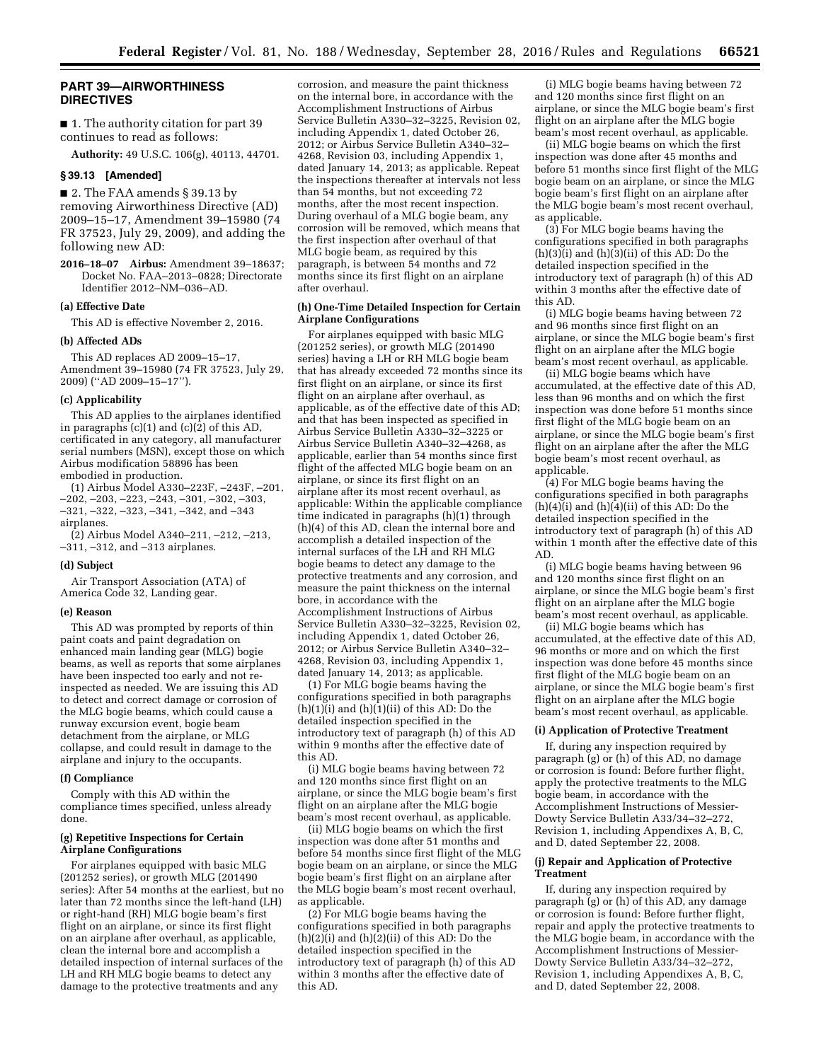# **PART 39—AIRWORTHINESS DIRECTIVES**

■ 1. The authority citation for part 39 continues to read as follows:

**Authority:** 49 U.S.C. 106(g), 40113, 44701.

# **§ 39.13 [Amended]**

■ 2. The FAA amends § 39.13 by removing Airworthiness Directive (AD) 2009–15–17, Amendment 39–15980 (74 FR 37523, July 29, 2009), and adding the following new AD:

**2016–18–07 Airbus:** Amendment 39–18637; Docket No. FAA–2013–0828; Directorate Identifier 2012–NM–036–AD.

#### **(a) Effective Date**

This AD is effective November 2, 2016.

# **(b) Affected ADs**

This AD replaces AD 2009–15–17, Amendment 39–15980 (74 FR 37523, July 29, 2009) (''AD 2009–15–17'').

# **(c) Applicability**

This AD applies to the airplanes identified in paragraphs  $(c)(1)$  and  $(c)(2)$  of this AD, certificated in any category, all manufacturer serial numbers (MSN), except those on which Airbus modification 58896 has been embodied in production.

(1) Airbus Model A330–223F, –243F, –201,  $-202, -203, -223, -243, -301, -302, -303,$ –321, –322, –323, –341, –342, and –343 airplanes.

(2) Airbus Model A340–211, –212, –213, –311, –312, and –313 airplanes.

### **(d) Subject**

Air Transport Association (ATA) of America Code 32, Landing gear.

#### **(e) Reason**

This AD was prompted by reports of thin paint coats and paint degradation on enhanced main landing gear (MLG) bogie beams, as well as reports that some airplanes have been inspected too early and not reinspected as needed. We are issuing this AD to detect and correct damage or corrosion of the MLG bogie beams, which could cause a runway excursion event, bogie beam detachment from the airplane, or MLG collapse, and could result in damage to the airplane and injury to the occupants.

#### **(f) Compliance**

Comply with this AD within the compliance times specified, unless already done.

## **(g) Repetitive Inspections for Certain Airplane Configurations**

For airplanes equipped with basic MLG (201252 series), or growth MLG (201490 series): After 54 months at the earliest, but no later than 72 months since the left-hand (LH) or right-hand (RH) MLG bogie beam's first flight on an airplane, or since its first flight on an airplane after overhaul, as applicable, clean the internal bore and accomplish a detailed inspection of internal surfaces of the LH and RH MLG bogie beams to detect any damage to the protective treatments and any

corrosion, and measure the paint thickness on the internal bore, in accordance with the Accomplishment Instructions of Airbus Service Bulletin A330–32–3225, Revision 02, including Appendix 1, dated October 26, 2012; or Airbus Service Bulletin A340–32– 4268, Revision 03, including Appendix 1, dated January 14, 2013; as applicable. Repeat the inspections thereafter at intervals not less than 54 months, but not exceeding 72 months, after the most recent inspection. During overhaul of a MLG bogie beam, any corrosion will be removed, which means that the first inspection after overhaul of that MLG bogie beam, as required by this paragraph, is between 54 months and 72 months since its first flight on an airplane after overhaul.

### **(h) One-Time Detailed Inspection for Certain Airplane Configurations**

For airplanes equipped with basic MLG (201252 series), or growth MLG (201490 series) having a LH or RH MLG bogie beam that has already exceeded 72 months since its first flight on an airplane, or since its first flight on an airplane after overhaul, as applicable, as of the effective date of this AD; and that has been inspected as specified in Airbus Service Bulletin A330–32–3225 or Airbus Service Bulletin A340–32–4268, as applicable, earlier than 54 months since first flight of the affected MLG bogie beam on an airplane, or since its first flight on an airplane after its most recent overhaul, as applicable: Within the applicable compliance time indicated in paragraphs (h)(1) through (h)(4) of this AD, clean the internal bore and accomplish a detailed inspection of the internal surfaces of the LH and RH MLG bogie beams to detect any damage to the protective treatments and any corrosion, and measure the paint thickness on the internal bore, in accordance with the Accomplishment Instructions of Airbus Service Bulletin A330–32–3225, Revision 02, including Appendix 1, dated October 26, 2012; or Airbus Service Bulletin A340–32– 4268, Revision 03, including Appendix 1, dated January 14, 2013; as applicable.

(1) For MLG bogie beams having the configurations specified in both paragraphs  $(h)(1)(i)$  and  $(h)(1)(ii)$  of this AD: Do the detailed inspection specified in the introductory text of paragraph (h) of this AD within 9 months after the effective date of this AD.

(i) MLG bogie beams having between 72 and 120 months since first flight on an airplane, or since the MLG bogie beam's first flight on an airplane after the MLG bogie beam's most recent overhaul, as applicable.

(ii) MLG bogie beams on which the first inspection was done after 51 months and before 54 months since first flight of the MLG bogie beam on an airplane, or since the MLG bogie beam's first flight on an airplane after the MLG bogie beam's most recent overhaul, as applicable.

(2) For MLG bogie beams having the configurations specified in both paragraphs  $(h)(2)(i)$  and  $(h)(2)(ii)$  of this AD: Do the detailed inspection specified in the introductory text of paragraph (h) of this AD within 3 months after the effective date of this AD.

(i) MLG bogie beams having between 72 and 120 months since first flight on an airplane, or since the MLG bogie beam's first flight on an airplane after the MLG bogie beam's most recent overhaul, as applicable.

(ii) MLG bogie beams on which the first inspection was done after 45 months and before 51 months since first flight of the MLG bogie beam on an airplane, or since the MLG bogie beam's first flight on an airplane after the MLG bogie beam's most recent overhaul, as applicable.

(3) For MLG bogie beams having the configurations specified in both paragraphs  $(h)(3)(i)$  and  $(h)(3)(ii)$  of this AD: Do the detailed inspection specified in the introductory text of paragraph (h) of this AD within 3 months after the effective date of this AD.

(i) MLG bogie beams having between 72 and 96 months since first flight on an airplane, or since the MLG bogie beam's first flight on an airplane after the MLG bogie beam's most recent overhaul, as applicable.

(ii) MLG bogie beams which have accumulated, at the effective date of this AD, less than 96 months and on which the first inspection was done before 51 months since first flight of the MLG bogie beam on an airplane, or since the MLG bogie beam's first flight on an airplane after the after the MLG bogie beam's most recent overhaul, as applicable.

(4) For MLG bogie beams having the configurations specified in both paragraphs  $(h)(4)(i)$  and  $(h)(4)(ii)$  of this AD: Do the detailed inspection specified in the introductory text of paragraph (h) of this AD within 1 month after the effective date of this AD.

(i) MLG bogie beams having between 96 and 120 months since first flight on an airplane, or since the MLG bogie beam's first flight on an airplane after the MLG bogie beam's most recent overhaul, as applicable.

(ii) MLG bogie beams which has accumulated, at the effective date of this AD, 96 months or more and on which the first inspection was done before 45 months since first flight of the MLG bogie beam on an airplane, or since the MLG bogie beam's first flight on an airplane after the MLG bogie beam's most recent overhaul, as applicable.

#### **(i) Application of Protective Treatment**

If, during any inspection required by paragraph (g) or (h) of this AD, no damage or corrosion is found: Before further flight, apply the protective treatments to the MLG bogie beam, in accordance with the Accomplishment Instructions of Messier-Dowty Service Bulletin A33/34–32–272, Revision 1, including Appendixes A, B, C, and D, dated September 22, 2008.

#### **(j) Repair and Application of Protective Treatment**

If, during any inspection required by paragraph (g) or (h) of this AD, any damage or corrosion is found: Before further flight, repair and apply the protective treatments to the MLG bogie beam, in accordance with the Accomplishment Instructions of Messier-Dowty Service Bulletin A33/34–32–272, Revision 1, including Appendixes A, B, C, and D, dated September 22, 2008.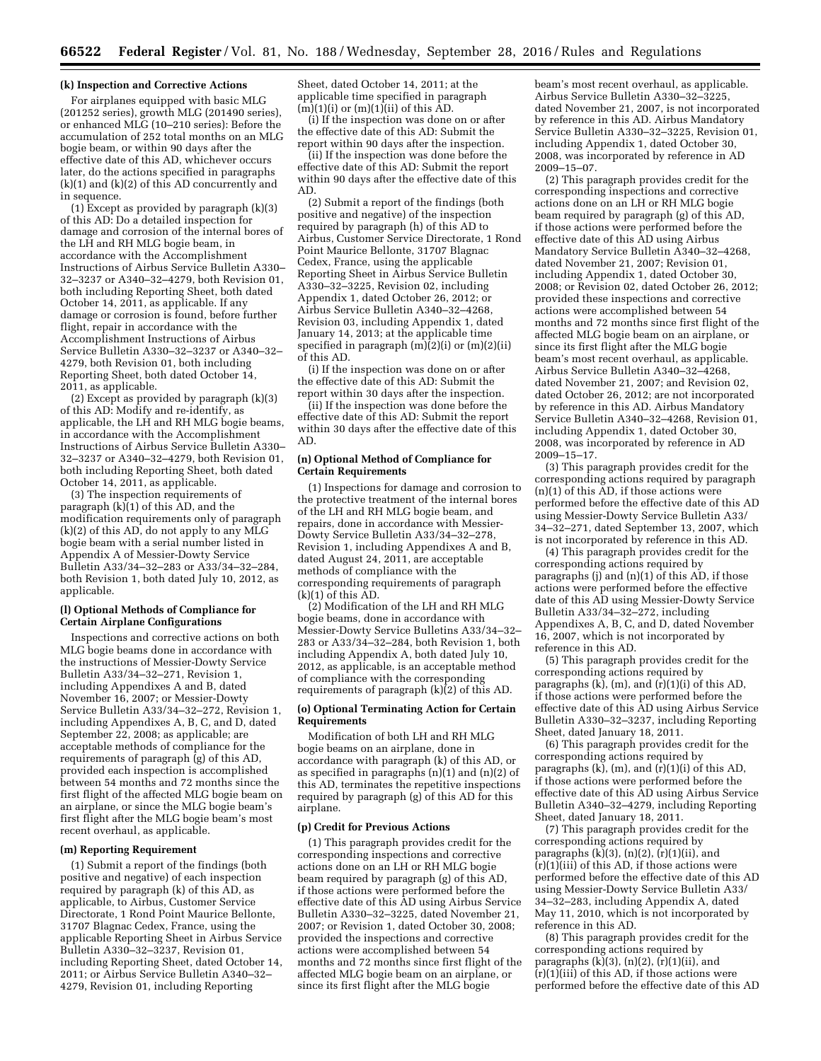### **(k) Inspection and Corrective Actions**

For airplanes equipped with basic MLG (201252 series), growth MLG (201490 series), or enhanced MLG (10–210 series): Before the accumulation of 252 total months on an MLG bogie beam, or within 90 days after the effective date of this AD, whichever occurs later, do the actions specified in paragraphs (k)(1) and (k)(2) of this AD concurrently and in sequence.

(1) Except as provided by paragraph (k)(3) of this AD: Do a detailed inspection for damage and corrosion of the internal bores of the LH and RH MLG bogie beam, in accordance with the Accomplishment Instructions of Airbus Service Bulletin A330– 32–3237 or A340–32–4279, both Revision 01, both including Reporting Sheet, both dated October 14, 2011, as applicable. If any damage or corrosion is found, before further flight, repair in accordance with the Accomplishment Instructions of Airbus Service Bulletin A330–32–3237 or A340–32– 4279, both Revision 01, both including Reporting Sheet, both dated October 14, 2011, as applicable.

(2) Except as provided by paragraph (k)(3) of this AD: Modify and re-identify, as applicable, the LH and RH MLG bogie beams, in accordance with the Accomplishment Instructions of Airbus Service Bulletin A330– 32–3237 or A340–32–4279, both Revision 01, both including Reporting Sheet, both dated October 14, 2011, as applicable.

(3) The inspection requirements of paragraph  $(k)(1)$  of this AD, and the modification requirements only of paragraph (k)(2) of this AD, do not apply to any MLG bogie beam with a serial number listed in Appendix A of Messier-Dowty Service Bulletin A33/34–32–283 or A33/34–32–284, both Revision 1, both dated July 10, 2012, as applicable.

## **(l) Optional Methods of Compliance for Certain Airplane Configurations**

Inspections and corrective actions on both MLG bogie beams done in accordance with the instructions of Messier-Dowty Service Bulletin A33/34–32–271, Revision 1, including Appendixes A and B, dated November 16, 2007; or Messier-Dowty Service Bulletin A33/34–32–272, Revision 1, including Appendixes A, B, C, and D, dated September 22, 2008; as applicable; are acceptable methods of compliance for the requirements of paragraph (g) of this AD, provided each inspection is accomplished between 54 months and 72 months since the first flight of the affected MLG bogie beam on an airplane, or since the MLG bogie beam's first flight after the MLG bogie beam's most recent overhaul, as applicable.

#### **(m) Reporting Requirement**

(1) Submit a report of the findings (both positive and negative) of each inspection required by paragraph (k) of this AD, as applicable, to Airbus, Customer Service Directorate, 1 Rond Point Maurice Bellonte, 31707 Blagnac Cedex, France, using the applicable Reporting Sheet in Airbus Service Bulletin A330–32–3237, Revision 01, including Reporting Sheet, dated October 14, 2011; or Airbus Service Bulletin A340–32– 4279, Revision 01, including Reporting

Sheet, dated October 14, 2011; at the applicable time specified in paragraph  $(m)(1)(i)$  or  $(m)(1)(ii)$  of this AD.

(i) If the inspection was done on or after the effective date of this AD: Submit the report within 90 days after the inspection.

(ii) If the inspection was done before the effective date of this AD: Submit the report within 90 days after the effective date of this AD.

(2) Submit a report of the findings (both positive and negative) of the inspection required by paragraph (h) of this AD to Airbus, Customer Service Directorate, 1 Rond Point Maurice Bellonte, 31707 Blagnac Cedex, France, using the applicable Reporting Sheet in Airbus Service Bulletin A330–32–3225, Revision 02, including Appendix 1, dated October 26, 2012; or Airbus Service Bulletin A340–32–4268, Revision 03, including Appendix 1, dated January 14, 2013; at the applicable time specified in paragraph  $(m)(2)(i)$  or  $(m)(2)(ii)$ of this AD.

(i) If the inspection was done on or after the effective date of this AD: Submit the report within 30 days after the inspection.

(ii) If the inspection was done before the effective date of this AD: Submit the report within 30 days after the effective date of this AD.

## **(n) Optional Method of Compliance for Certain Requirements**

(1) Inspections for damage and corrosion to the protective treatment of the internal bores of the LH and RH MLG bogie beam, and repairs, done in accordance with Messier-Dowty Service Bulletin A33/34–32–278, Revision 1, including Appendixes A and B, dated August 24, 2011, are acceptable methods of compliance with the corresponding requirements of paragraph  $(k)(1)$  of this  $AD$ .

(2) Modification of the LH and RH MLG bogie beams, done in accordance with Messier-Dowty Service Bulletins A33/34–32– 283 or A33/34–32–284, both Revision 1, both including Appendix A, both dated July 10, 2012, as applicable, is an acceptable method of compliance with the corresponding requirements of paragraph (k)(2) of this AD.

## **(o) Optional Terminating Action for Certain Requirements**

Modification of both LH and RH MLG bogie beams on an airplane, done in accordance with paragraph (k) of this AD, or as specified in paragraphs (n)(1) and (n)(2) of this AD, terminates the repetitive inspections required by paragraph (g) of this AD for this airplane.

#### **(p) Credit for Previous Actions**

(1) This paragraph provides credit for the corresponding inspections and corrective actions done on an LH or RH MLG bogie beam required by paragraph (g) of this AD, if those actions were performed before the effective date of this AD using Airbus Service Bulletin A330–32–3225, dated November 21, 2007; or Revision 1, dated October 30, 2008; provided the inspections and corrective actions were accomplished between 54 months and 72 months since first flight of the affected MLG bogie beam on an airplane, or since its first flight after the MLG bogie

beam's most recent overhaul, as applicable. Airbus Service Bulletin A330–32–3225, dated November 21, 2007, is not incorporated by reference in this AD. Airbus Mandatory Service Bulletin A330–32–3225, Revision 01, including Appendix 1, dated October 30, 2008, was incorporated by reference in AD 2009–15–07.

(2) This paragraph provides credit for the corresponding inspections and corrective actions done on an LH or RH MLG bogie beam required by paragraph (g) of this AD, if those actions were performed before the effective date of this AD using Airbus Mandatory Service Bulletin A340–32–4268, dated November 21, 2007; Revision 01, including Appendix 1, dated October 30, 2008; or Revision 02, dated October 26, 2012; provided these inspections and corrective actions were accomplished between 54 months and 72 months since first flight of the affected MLG bogie beam on an airplane, or since its first flight after the MLG bogie beam's most recent overhaul, as applicable. Airbus Service Bulletin A340–32–4268, dated November 21, 2007; and Revision 02, dated October 26, 2012; are not incorporated by reference in this AD. Airbus Mandatory Service Bulletin A340–32–4268, Revision 01, including Appendix 1, dated October 30, 2008, was incorporated by reference in AD 2009–15–17.

(3) This paragraph provides credit for the corresponding actions required by paragraph (n)(1) of this AD, if those actions were performed before the effective date of this AD using Messier-Dowty Service Bulletin A33/ 34–32–271, dated September 13, 2007, which is not incorporated by reference in this AD.

(4) This paragraph provides credit for the corresponding actions required by paragraphs (j) and (n)(1) of this AD, if those actions were performed before the effective date of this AD using Messier-Dowty Service Bulletin A33/34–32–272, including Appendixes A, B, C, and D, dated November 16, 2007, which is not incorporated by reference in this AD.

(5) This paragraph provides credit for the corresponding actions required by paragraphs (k), (m), and (r)(1)(i) of this AD, if those actions were performed before the effective date of this AD using Airbus Service Bulletin A330–32–3237, including Reporting Sheet, dated January 18, 2011.

(6) This paragraph provides credit for the corresponding actions required by paragraphs (k), (m), and (r)(1)(i) of this AD, if those actions were performed before the effective date of this AD using Airbus Service Bulletin A340–32–4279, including Reporting Sheet, dated January 18, 2011.

(7) This paragraph provides credit for the corresponding actions required by paragraphs (k)(3), (n)(2),  $(r)(1)(ii)$ , and (r)(1)(iii) of this AD, if those actions were performed before the effective date of this AD using Messier-Dowty Service Bulletin A33/ 34–32–283, including Appendix A, dated May 11, 2010, which is not incorporated by reference in this AD.

(8) This paragraph provides credit for the corresponding actions required by paragraphs  $(k)(3)$ ,  $(n)(2)$ ,  $(r)(1)(ii)$ , and (r)(1)(iii) of this AD, if those actions were performed before the effective date of this AD